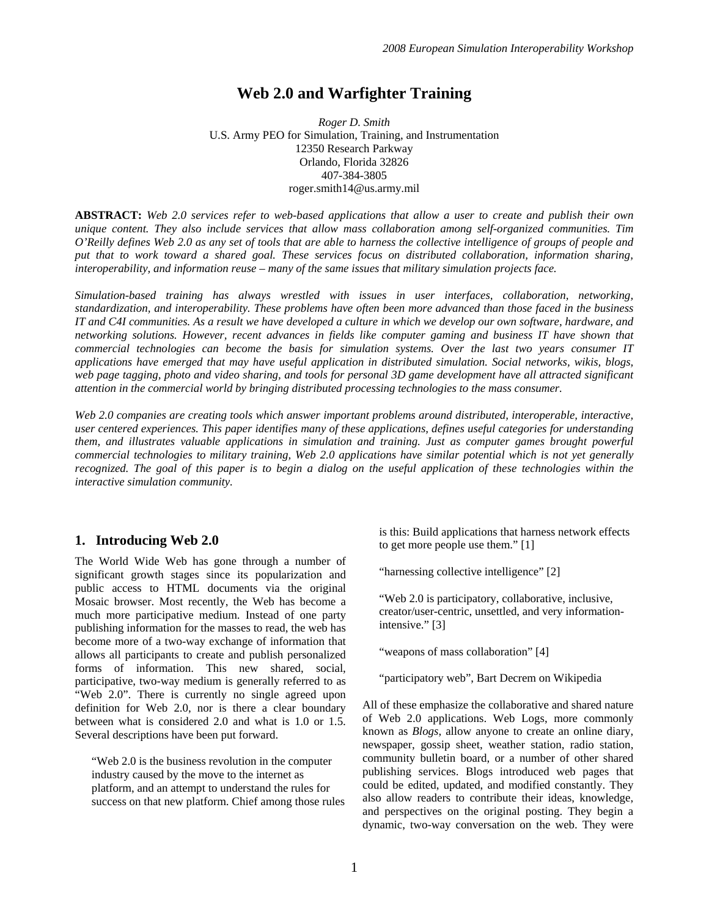# **Web 2.0 and Warfighter Training**

*Roger D. Smith*  U.S. Army PEO for Simulation, Training, and Instrumentation 12350 Research Parkway Orlando, Florida 32826 407-384-3805 roger.smith14@us.army.mil

**ABSTRACT:** *Web 2.0 services refer to web-based applications that allow a user to create and publish their own unique content. They also include services that allow mass collaboration among self-organized communities. Tim O'Reilly defines Web 2.0 as any set of tools that are able to harness the collective intelligence of groups of people and put that to work toward a shared goal. These services focus on distributed collaboration, information sharing, interoperability, and information reuse – many of the same issues that military simulation projects face.* 

*Simulation-based training has always wrestled with issues in user interfaces, collaboration, networking, standardization, and interoperability. These problems have often been more advanced than those faced in the business IT and C4I communities. As a result we have developed a culture in which we develop our own software, hardware, and networking solutions. However, recent advances in fields like computer gaming and business IT have shown that commercial technologies can become the basis for simulation systems. Over the last two years consumer IT applications have emerged that may have useful application in distributed simulation. Social networks, wikis, blogs,*  web page tagging, photo and video sharing, and tools for personal 3D game development have all attracted significant *attention in the commercial world by bringing distributed processing technologies to the mass consumer.* 

Web 2.0 companies are creating tools which answer important problems around distributed, interoperable, interactive, *user centered experiences. This paper identifies many of these applications, defines useful categories for understanding them, and illustrates valuable applications in simulation and training. Just as computer games brought powerful commercial technologies to military training, Web 2.0 applications have similar potential which is not yet generally*  recognized. The goal of this paper is to begin a dialog on the useful application of these technologies within the *interactive simulation community.* 

#### **1. Introducing Web 2.0**

The World Wide Web has gone through a number of significant growth stages since its popularization and public access to HTML documents via the original Mosaic browser. Most recently, the Web has become a much more participative medium. Instead of one party publishing information for the masses to read, the web has become more of a two-way exchange of information that allows all participants to create and publish personalized forms of information. This new shared, social, participative, two-way medium is generally referred to as "Web 2.0". There is currently no single agreed upon definition for Web 2.0, nor is there a clear boundary between what is considered 2.0 and what is 1.0 or 1.5. Several descriptions have been put forward.

"Web 2.0 is the business revolution in the computer industry caused by the move to the internet as platform, and an attempt to understand the rules for success on that new platform. Chief among those rules is this: Build applications that harness network effects to get more people use them." [1]

"harnessing collective intelligence" [2]

"Web 2.0 is participatory, collaborative, inclusive, creator/user-centric, unsettled, and very informationintensive." [3]

"weapons of mass collaboration" [4]

"participatory web", Bart Decrem on Wikipedia

All of these emphasize the collaborative and shared nature of Web 2.0 applications. Web Logs, more commonly known as *Blogs*, allow anyone to create an online diary, newspaper, gossip sheet, weather station, radio station, community bulletin board, or a number of other shared publishing services. Blogs introduced web pages that could be edited, updated, and modified constantly. They also allow readers to contribute their ideas, knowledge, and perspectives on the original posting. They begin a dynamic, two-way conversation on the web. They were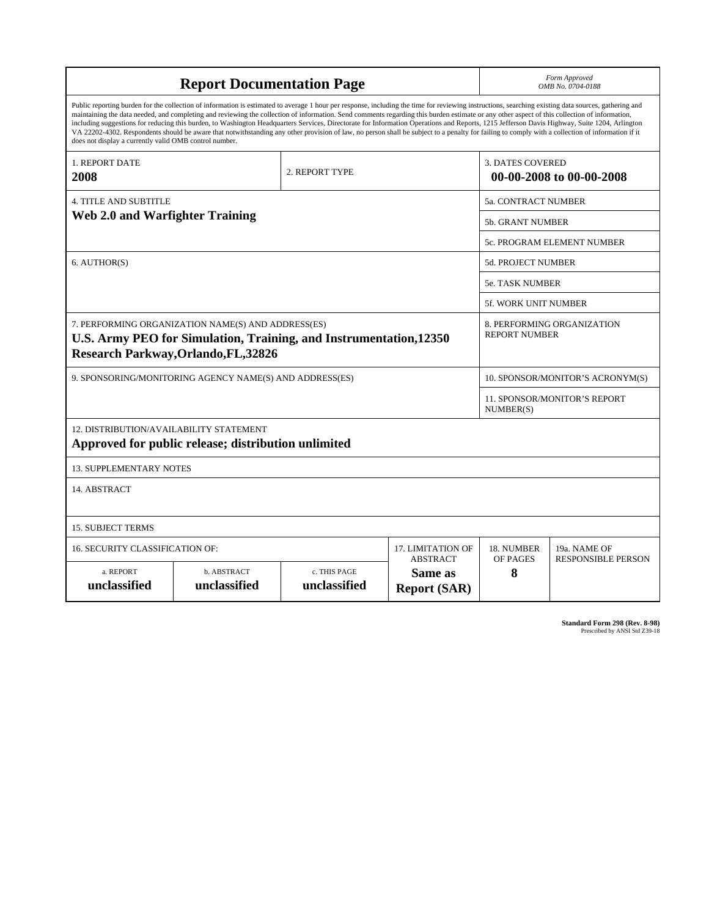| <b>Report Documentation Page</b>                                                                                                                                                                                                                                                                                                                                                                                                                                                                                                                                                                                                                                                                                                                                                                                                                                   |                                    |                              |                                                   | Form Approved<br>OMB No. 0704-0188                  |                           |
|--------------------------------------------------------------------------------------------------------------------------------------------------------------------------------------------------------------------------------------------------------------------------------------------------------------------------------------------------------------------------------------------------------------------------------------------------------------------------------------------------------------------------------------------------------------------------------------------------------------------------------------------------------------------------------------------------------------------------------------------------------------------------------------------------------------------------------------------------------------------|------------------------------------|------------------------------|---------------------------------------------------|-----------------------------------------------------|---------------------------|
| Public reporting burden for the collection of information is estimated to average 1 hour per response, including the time for reviewing instructions, searching existing data sources, gathering and<br>maintaining the data needed, and completing and reviewing the collection of information. Send comments regarding this burden estimate or any other aspect of this collection of information,<br>including suggestions for reducing this burden, to Washington Headquarters Services, Directorate for Information Operations and Reports, 1215 Jefferson Davis Highway, Suite 1204, Arlington<br>VA 22202-4302. Respondents should be aware that notwithstanding any other provision of law, no person shall be subject to a penalty for failing to comply with a collection of information if it<br>does not display a currently valid OMB control number. |                                    |                              |                                                   |                                                     |                           |
| 1. REPORT DATE<br>2008                                                                                                                                                                                                                                                                                                                                                                                                                                                                                                                                                                                                                                                                                                                                                                                                                                             |                                    | 2. REPORT TYPE               |                                                   | <b>3. DATES COVERED</b><br>00-00-2008 to 00-00-2008 |                           |
| <b>4. TITLE AND SUBTITLE</b>                                                                                                                                                                                                                                                                                                                                                                                                                                                                                                                                                                                                                                                                                                                                                                                                                                       |                                    |                              |                                                   | 5a. CONTRACT NUMBER                                 |                           |
| <b>Web 2.0 and Warfighter Training</b>                                                                                                                                                                                                                                                                                                                                                                                                                                                                                                                                                                                                                                                                                                                                                                                                                             |                                    |                              |                                                   | <b>5b. GRANT NUMBER</b>                             |                           |
|                                                                                                                                                                                                                                                                                                                                                                                                                                                                                                                                                                                                                                                                                                                                                                                                                                                                    |                                    |                              |                                                   | 5c. PROGRAM ELEMENT NUMBER                          |                           |
| 6. AUTHOR(S)                                                                                                                                                                                                                                                                                                                                                                                                                                                                                                                                                                                                                                                                                                                                                                                                                                                       |                                    |                              |                                                   | <b>5d. PROJECT NUMBER</b>                           |                           |
|                                                                                                                                                                                                                                                                                                                                                                                                                                                                                                                                                                                                                                                                                                                                                                                                                                                                    |                                    |                              |                                                   | 5e. TASK NUMBER                                     |                           |
|                                                                                                                                                                                                                                                                                                                                                                                                                                                                                                                                                                                                                                                                                                                                                                                                                                                                    |                                    |                              |                                                   | 5f. WORK UNIT NUMBER                                |                           |
| 7. PERFORMING ORGANIZATION NAME(S) AND ADDRESS(ES)<br>U.S. Army PEO for Simulation, Training, and Instrumentation, 12350<br><b>Research Parkway, Orlando, FL, 32826</b>                                                                                                                                                                                                                                                                                                                                                                                                                                                                                                                                                                                                                                                                                            |                                    |                              |                                                   | 8. PERFORMING ORGANIZATION<br><b>REPORT NUMBER</b>  |                           |
| 9. SPONSORING/MONITORING AGENCY NAME(S) AND ADDRESS(ES)                                                                                                                                                                                                                                                                                                                                                                                                                                                                                                                                                                                                                                                                                                                                                                                                            |                                    |                              |                                                   | 10. SPONSOR/MONITOR'S ACRONYM(S)                    |                           |
|                                                                                                                                                                                                                                                                                                                                                                                                                                                                                                                                                                                                                                                                                                                                                                                                                                                                    |                                    |                              |                                                   | 11. SPONSOR/MONITOR'S REPORT<br>NUMBER(S)           |                           |
| 12. DISTRIBUTION/AVAILABILITY STATEMENT<br>Approved for public release; distribution unlimited                                                                                                                                                                                                                                                                                                                                                                                                                                                                                                                                                                                                                                                                                                                                                                     |                                    |                              |                                                   |                                                     |                           |
| <b>13. SUPPLEMENTARY NOTES</b>                                                                                                                                                                                                                                                                                                                                                                                                                                                                                                                                                                                                                                                                                                                                                                                                                                     |                                    |                              |                                                   |                                                     |                           |
| 14. ABSTRACT                                                                                                                                                                                                                                                                                                                                                                                                                                                                                                                                                                                                                                                                                                                                                                                                                                                       |                                    |                              |                                                   |                                                     |                           |
| <b>15. SUBJECT TERMS</b>                                                                                                                                                                                                                                                                                                                                                                                                                                                                                                                                                                                                                                                                                                                                                                                                                                           |                                    |                              |                                                   |                                                     |                           |
| 16. SECURITY CLASSIFICATION OF:                                                                                                                                                                                                                                                                                                                                                                                                                                                                                                                                                                                                                                                                                                                                                                                                                                    | 17. LIMITATION OF                  | 18. NUMBER                   | 19a. NAME OF                                      |                                                     |                           |
| a. REPORT<br>unclassified                                                                                                                                                                                                                                                                                                                                                                                                                                                                                                                                                                                                                                                                                                                                                                                                                                          | <b>b. ABSTRACT</b><br>unclassified | c. THIS PAGE<br>unclassified | <b>ABSTRACT</b><br>Same as<br><b>Report (SAR)</b> | OF PAGES<br>8                                       | <b>RESPONSIBLE PERSON</b> |

**Standard Form 298 (Rev. 8-98)**<br>Prescribed by ANSI Std Z39-18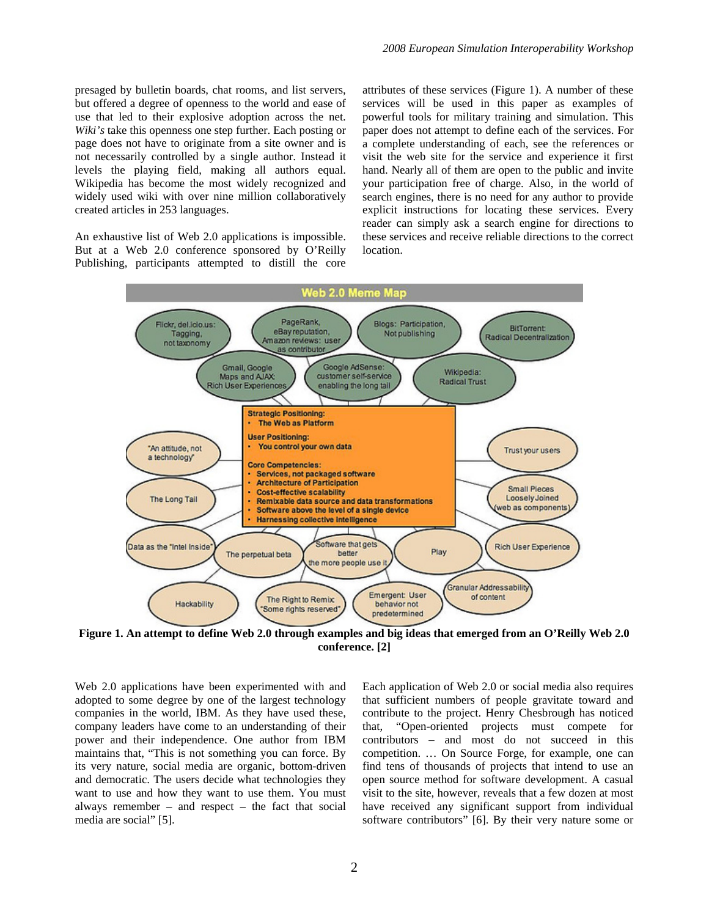presaged by bulletin boards, chat rooms, and list servers, but offered a degree of openness to the world and ease of use that led to their explosive adoption across the net. *Wiki's* take this openness one step further. Each posting or page does not have to originate from a site owner and is not necessarily controlled by a single author. Instead it levels the playing field, making all authors equal. Wikipedia has become the most widely recognized and widely used wiki with over nine million collaboratively created articles in 253 languages.

An exhaustive list of Web 2.0 applications is impossible. But at a Web 2.0 conference sponsored by O'Reilly Publishing, participants attempted to distill the core attributes of these services (Figure 1). A number of these services will be used in this paper as examples of powerful tools for military training and simulation. This paper does not attempt to define each of the services. For a complete understanding of each, see the references or visit the web site for the service and experience it first hand. Nearly all of them are open to the public and invite your participation free of charge. Also, in the world of search engines, there is no need for any author to provide explicit instructions for locating these services. Every reader can simply ask a search engine for directions to these services and receive reliable directions to the correct location.



**Figure 1. An attempt to define Web 2.0 through examples and big ideas that emerged from an O'Reilly Web 2.0 conference. [2]** 

Web 2.0 applications have been experimented with and adopted to some degree by one of the largest technology companies in the world, IBM. As they have used these, company leaders have come to an understanding of their power and their independence. One author from IBM maintains that, "This is not something you can force. By its very nature, social media are organic, bottom-driven and democratic. The users decide what technologies they want to use and how they want to use them. You must always remember – and respect – the fact that social media are social" [5].

Each application of Web 2.0 or social media also requires that sufficient numbers of people gravitate toward and contribute to the project. Henry Chesbrough has noticed that, "Open-oriented projects must compete for contributors – and most do not succeed in this competition. … On Source Forge, for example, one can find tens of thousands of projects that intend to use an open source method for software development. A casual visit to the site, however, reveals that a few dozen at most have received any significant support from individual software contributors" [6]. By their very nature some or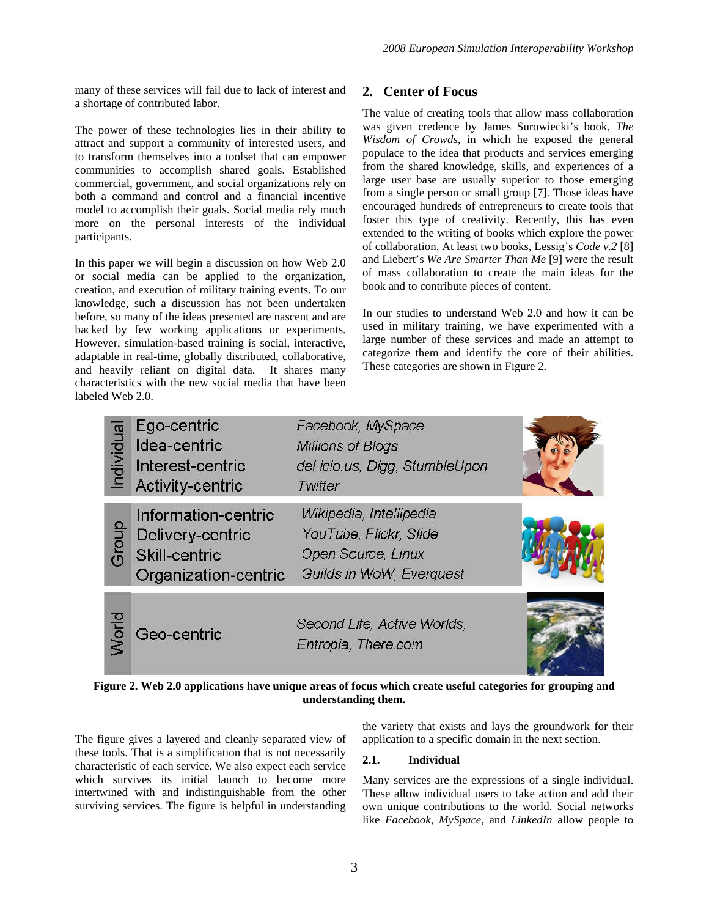many of these services will fail due to lack of interest and a shortage of contributed labor.

The power of these technologies lies in their ability to attract and support a community of interested users, and to transform themselves into a toolset that can empower communities to accomplish shared goals. Established commercial, government, and social organizations rely on both a command and control and a financial incentive model to accomplish their goals. Social media rely much more on the personal interests of the individual participants.

In this paper we will begin a discussion on how Web 2.0 or social media can be applied to the organization, creation, and execution of military training events. To our knowledge, such a discussion has not been undertaken before, so many of the ideas presented are nascent and are backed by few working applications or experiments. However, simulation-based training is social, interactive, adaptable in real-time, globally distributed, collaborative, and heavily reliant on digital data. It shares many characteristics with the new social media that have been labeled Web 2.0.

# **2. Center of Focus**

The value of creating tools that allow mass collaboration was given credence by James Surowiecki's book, *The Wisdom of Crowds*, in which he exposed the general populace to the idea that products and services emerging from the shared knowledge, skills, and experiences of a large user base are usually superior to those emerging from a single person or small group [7]. Those ideas have encouraged hundreds of entrepreneurs to create tools that foster this type of creativity. Recently, this has even extended to the writing of books which explore the power of collaboration. At least two books, Lessig's *Code v.2* [8] and Liebert's *We Are Smarter Than Me* [9] were the result of mass collaboration to create the main ideas for the book and to contribute pieces of content.

In our studies to understand Web 2.0 and how it can be used in military training, we have experimented with a large number of these services and made an attempt to categorize them and identify the core of their abilities. These categories are shown in Figure 2.



**Figure 2. Web 2.0 applications have unique areas of focus which create useful categories for grouping and understanding them.** 

The figure gives a layered and cleanly separated view of these tools. That is a simplification that is not necessarily characteristic of each service. We also expect each service which survives its initial launch to become more intertwined with and indistinguishable from the other surviving services. The figure is helpful in understanding

#### the variety that exists and lays the groundwork for their application to a specific domain in the next section.

### **2.1. Individual**

Many services are the expressions of a single individual. These allow individual users to take action and add their own unique contributions to the world. Social networks like *Facebook, MySpace,* and *LinkedIn* allow people to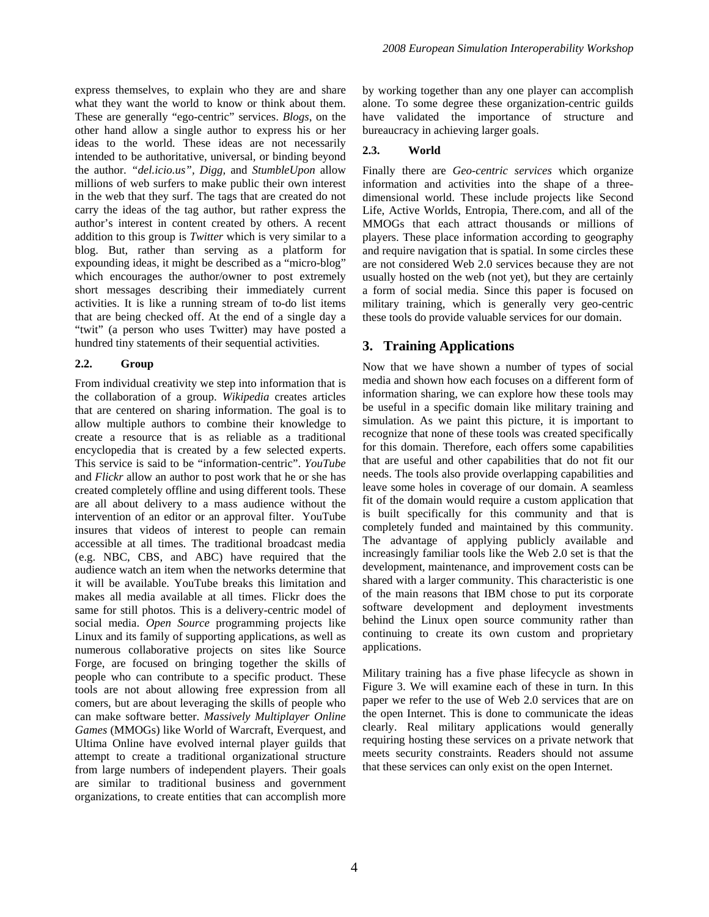express themselves, to explain who they are and share what they want the world to know or think about them. These are generally "ego-centric" services. *Blogs*, on the other hand allow a single author to express his or her ideas to the world. These ideas are not necessarily intended to be authoritative, universal, or binding beyond the author. *"del.icio.us", Digg,* and *StumbleUpon* allow millions of web surfers to make public their own interest in the web that they surf. The tags that are created do not carry the ideas of the tag author, but rather express the author's interest in content created by others. A recent addition to this group is *Twitter* which is very similar to a blog. But, rather than serving as a platform for expounding ideas, it might be described as a "micro-blog" which encourages the author/owner to post extremely short messages describing their immediately current activities. It is like a running stream of to-do list items that are being checked off. At the end of a single day a "twit" (a person who uses Twitter) may have posted a hundred tiny statements of their sequential activities.

#### **2.2. Group**

From individual creativity we step into information that is the collaboration of a group. *Wikipedia* creates articles that are centered on sharing information. The goal is to allow multiple authors to combine their knowledge to create a resource that is as reliable as a traditional encyclopedia that is created by a few selected experts. This service is said to be "information-centric". *YouTube*  and *Flickr* allow an author to post work that he or she has created completely offline and using different tools. These are all about delivery to a mass audience without the intervention of an editor or an approval filter. YouTube insures that videos of interest to people can remain accessible at all times. The traditional broadcast media (e.g. NBC, CBS, and ABC) have required that the audience watch an item when the networks determine that it will be available. YouTube breaks this limitation and makes all media available at all times. Flickr does the same for still photos. This is a delivery-centric model of social media. *Open Source* programming projects like Linux and its family of supporting applications, as well as numerous collaborative projects on sites like Source Forge, are focused on bringing together the skills of people who can contribute to a specific product. These tools are not about allowing free expression from all comers, but are about leveraging the skills of people who can make software better. *Massively Multiplayer Online Games* (MMOGs) like World of Warcraft, Everquest, and Ultima Online have evolved internal player guilds that attempt to create a traditional organizational structure from large numbers of independent players. Their goals are similar to traditional business and government organizations, to create entities that can accomplish more

by working together than any one player can accomplish alone. To some degree these organization-centric guilds have validated the importance of structure and bureaucracy in achieving larger goals.

#### **2.3. World**

Finally there are *Geo-centric services* which organize information and activities into the shape of a threedimensional world. These include projects like Second Life, Active Worlds, Entropia, There.com, and all of the MMOGs that each attract thousands or millions of players. These place information according to geography and require navigation that is spatial. In some circles these are not considered Web 2.0 services because they are not usually hosted on the web (not yet), but they are certainly a form of social media. Since this paper is focused on military training, which is generally very geo-centric these tools do provide valuable services for our domain.

# **3. Training Applications**

Now that we have shown a number of types of social media and shown how each focuses on a different form of information sharing, we can explore how these tools may be useful in a specific domain like military training and simulation. As we paint this picture, it is important to recognize that none of these tools was created specifically for this domain. Therefore, each offers some capabilities that are useful and other capabilities that do not fit our needs. The tools also provide overlapping capabilities and leave some holes in coverage of our domain. A seamless fit of the domain would require a custom application that is built specifically for this community and that is completely funded and maintained by this community. The advantage of applying publicly available and increasingly familiar tools like the Web 2.0 set is that the development, maintenance, and improvement costs can be shared with a larger community. This characteristic is one of the main reasons that IBM chose to put its corporate software development and deployment investments behind the Linux open source community rather than continuing to create its own custom and proprietary applications.

Military training has a five phase lifecycle as shown in Figure 3. We will examine each of these in turn. In this paper we refer to the use of Web 2.0 services that are on the open Internet. This is done to communicate the ideas clearly. Real military applications would generally requiring hosting these services on a private network that meets security constraints. Readers should not assume that these services can only exist on the open Internet.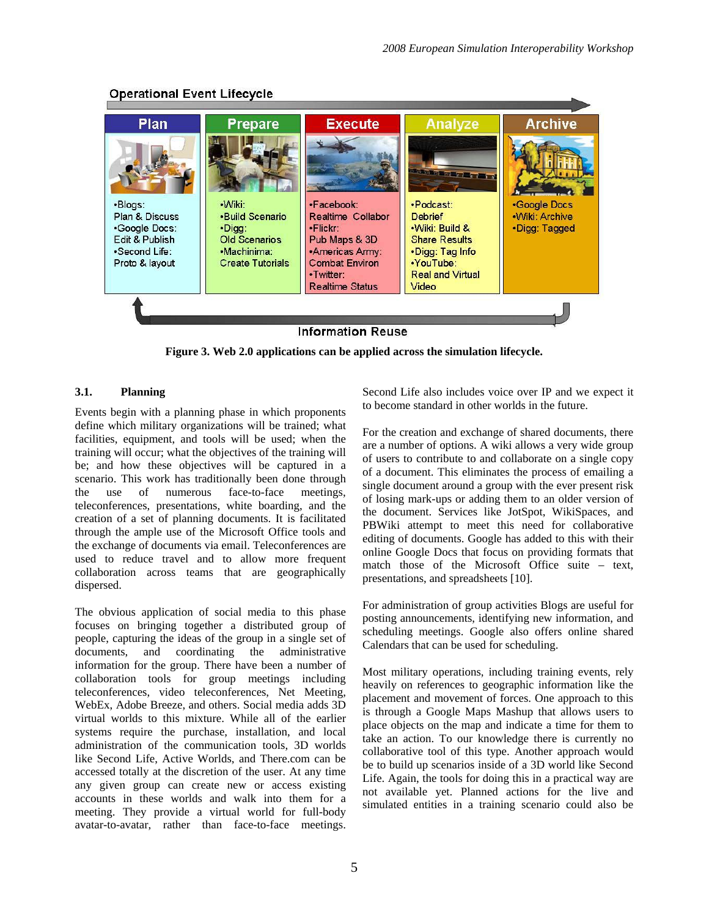

# **Operational Event Lifecycle**

**Figure 3. Web 2.0 applications can be applied across the simulation lifecycle.** 

### **3.1. Planning**

Events begin with a planning phase in which proponents define which military organizations will be trained; what facilities, equipment, and tools will be used; when the training will occur; what the objectives of the training will be; and how these objectives will be captured in a scenario. This work has traditionally been done through the use of numerous face-to-face meetings, teleconferences, presentations, white boarding, and the creation of a set of planning documents. It is facilitated through the ample use of the Microsoft Office tools and the exchange of documents via email. Teleconferences are used to reduce travel and to allow more frequent collaboration across teams that are geographically dispersed.

The obvious application of social media to this phase focuses on bringing together a distributed group of people, capturing the ideas of the group in a single set of documents, and coordinating the administrative information for the group. There have been a number of collaboration tools for group meetings including teleconferences, video teleconferences, Net Meeting, WebEx, Adobe Breeze, and others. Social media adds 3D virtual worlds to this mixture. While all of the earlier systems require the purchase, installation, and local administration of the communication tools, 3D worlds like Second Life, Active Worlds, and There.com can be accessed totally at the discretion of the user. At any time any given group can create new or access existing accounts in these worlds and walk into them for a meeting. They provide a virtual world for full-body avatar-to-avatar, rather than face-to-face meetings. Second Life also includes voice over IP and we expect it to become standard in other worlds in the future.

For the creation and exchange of shared documents, there are a number of options. A wiki allows a very wide group of users to contribute to and collaborate on a single copy of a document. This eliminates the process of emailing a single document around a group with the ever present risk of losing mark-ups or adding them to an older version of the document. Services like JotSpot, WikiSpaces, and PBWiki attempt to meet this need for collaborative editing of documents. Google has added to this with their online Google Docs that focus on providing formats that match those of the Microsoft Office suite – text, presentations, and spreadsheets [10].

For administration of group activities Blogs are useful for posting announcements, identifying new information, and scheduling meetings. Google also offers online shared Calendars that can be used for scheduling.

Most military operations, including training events, rely heavily on references to geographic information like the placement and movement of forces. One approach to this is through a Google Maps Mashup that allows users to place objects on the map and indicate a time for them to take an action. To our knowledge there is currently no collaborative tool of this type. Another approach would be to build up scenarios inside of a 3D world like Second Life. Again, the tools for doing this in a practical way are not available yet. Planned actions for the live and simulated entities in a training scenario could also be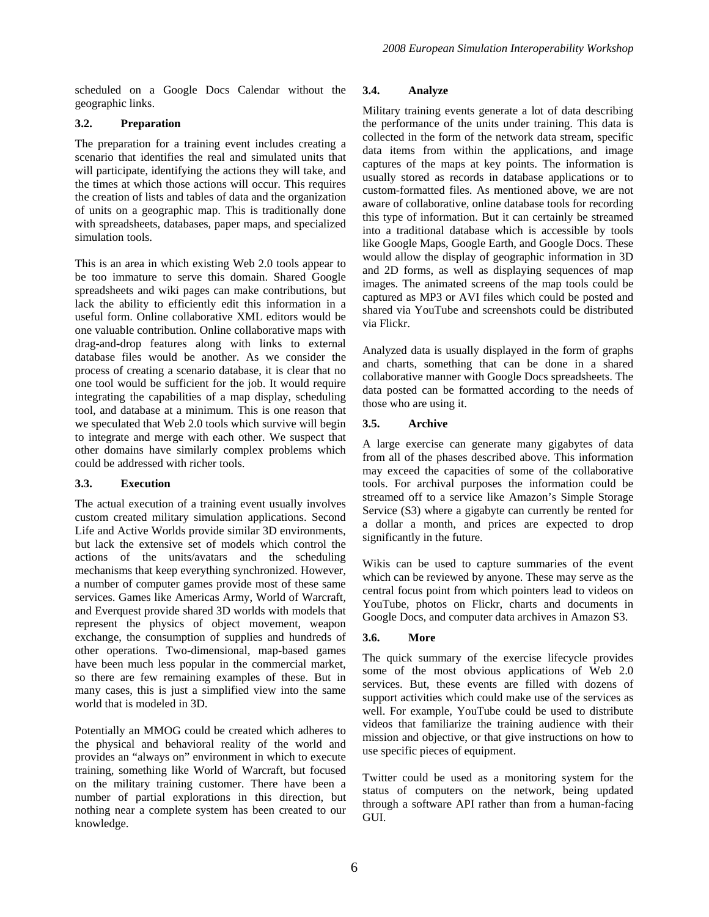scheduled on a Google Docs Calendar without the geographic links.

### **3.2. Preparation**

The preparation for a training event includes creating a scenario that identifies the real and simulated units that will participate, identifying the actions they will take, and the times at which those actions will occur. This requires the creation of lists and tables of data and the organization of units on a geographic map. This is traditionally done with spreadsheets, databases, paper maps, and specialized simulation tools.

This is an area in which existing Web 2.0 tools appear to be too immature to serve this domain. Shared Google spreadsheets and wiki pages can make contributions, but lack the ability to efficiently edit this information in a useful form. Online collaborative XML editors would be one valuable contribution. Online collaborative maps with drag-and-drop features along with links to external database files would be another. As we consider the process of creating a scenario database, it is clear that no one tool would be sufficient for the job. It would require integrating the capabilities of a map display, scheduling tool, and database at a minimum. This is one reason that we speculated that Web 2.0 tools which survive will begin to integrate and merge with each other. We suspect that other domains have similarly complex problems which could be addressed with richer tools.

### **3.3. Execution**

The actual execution of a training event usually involves custom created military simulation applications. Second Life and Active Worlds provide similar 3D environments, but lack the extensive set of models which control the actions of the units/avatars and the scheduling mechanisms that keep everything synchronized. However, a number of computer games provide most of these same services. Games like Americas Army, World of Warcraft, and Everquest provide shared 3D worlds with models that represent the physics of object movement, weapon exchange, the consumption of supplies and hundreds of other operations. Two-dimensional, map-based games have been much less popular in the commercial market, so there are few remaining examples of these. But in many cases, this is just a simplified view into the same world that is modeled in 3D.

Potentially an MMOG could be created which adheres to the physical and behavioral reality of the world and provides an "always on" environment in which to execute training, something like World of Warcraft, but focused on the military training customer. There have been a number of partial explorations in this direction, but nothing near a complete system has been created to our knowledge.

#### **3.4. Analyze**

Military training events generate a lot of data describing the performance of the units under training. This data is collected in the form of the network data stream, specific data items from within the applications, and image captures of the maps at key points. The information is usually stored as records in database applications or to custom-formatted files. As mentioned above, we are not aware of collaborative, online database tools for recording this type of information. But it can certainly be streamed into a traditional database which is accessible by tools like Google Maps, Google Earth, and Google Docs. These would allow the display of geographic information in 3D and 2D forms, as well as displaying sequences of map images. The animated screens of the map tools could be captured as MP3 or AVI files which could be posted and shared via YouTube and screenshots could be distributed via Flickr.

Analyzed data is usually displayed in the form of graphs and charts, something that can be done in a shared collaborative manner with Google Docs spreadsheets. The data posted can be formatted according to the needs of those who are using it.

### **3.5. Archive**

A large exercise can generate many gigabytes of data from all of the phases described above. This information may exceed the capacities of some of the collaborative tools. For archival purposes the information could be streamed off to a service like Amazon's Simple Storage Service (S3) where a gigabyte can currently be rented for a dollar a month, and prices are expected to drop significantly in the future.

Wikis can be used to capture summaries of the event which can be reviewed by anyone. These may serve as the central focus point from which pointers lead to videos on YouTube, photos on Flickr, charts and documents in Google Docs, and computer data archives in Amazon S3.

### **3.6. More**

The quick summary of the exercise lifecycle provides some of the most obvious applications of Web 2.0 services. But, these events are filled with dozens of support activities which could make use of the services as well. For example, YouTube could be used to distribute videos that familiarize the training audience with their mission and objective, or that give instructions on how to use specific pieces of equipment.

Twitter could be used as a monitoring system for the status of computers on the network, being updated through a software API rather than from a human-facing GUI.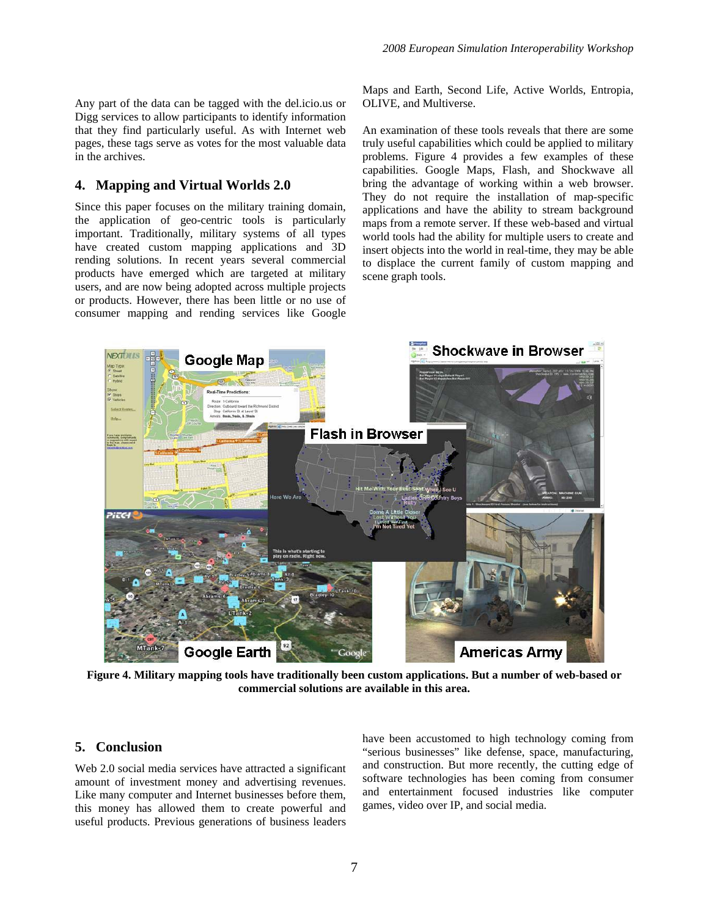Any part of the data can be tagged with the del.icio.us or Digg services to allow participants to identify information that they find particularly useful. As with Internet web pages, these tags serve as votes for the most valuable data in the archives.

### **4. Mapping and Virtual Worlds 2.0**

Since this paper focuses on the military training domain, the application of geo-centric tools is particularly important. Traditionally, military systems of all types have created custom mapping applications and 3D rending solutions. In recent years several commercial products have emerged which are targeted at military users, and are now being adopted across multiple projects or products. However, there has been little or no use of consumer mapping and rending services like Google Maps and Earth, Second Life, Active Worlds, Entropia, OLIVE, and Multiverse.

An examination of these tools reveals that there are some truly useful capabilities which could be applied to military problems. Figure 4 provides a few examples of these capabilities. Google Maps, Flash, and Shockwave all bring the advantage of working within a web browser. They do not require the installation of map-specific applications and have the ability to stream background maps from a remote server. If these web-based and virtual world tools had the ability for multiple users to create and insert objects into the world in real-time, they may be able to displace the current family of custom mapping and scene graph tools.



**Figure 4. Military mapping tools have traditionally been custom applications. But a number of web-based or commercial solutions are available in this area.** 

### **5. Conclusion**

Web 2.0 social media services have attracted a significant amount of investment money and advertising revenues. Like many computer and Internet businesses before them, this money has allowed them to create powerful and useful products. Previous generations of business leaders

have been accustomed to high technology coming from "serious businesses" like defense, space, manufacturing, and construction. But more recently, the cutting edge of software technologies has been coming from consumer and entertainment focused industries like computer games, video over IP, and social media.